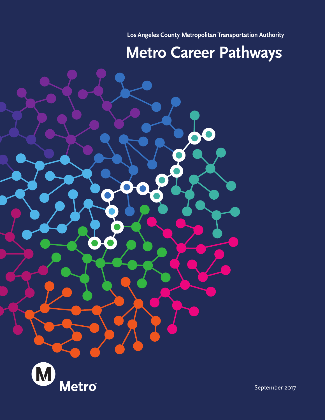**Los Angeles County Metropolitan Transportation Authority**

# **Metro Career Pathways**



September 2017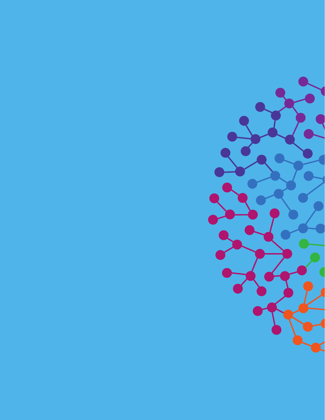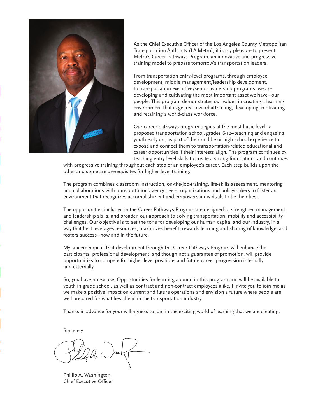

As the Chief Executive Officer of the Los Angeles County Metropolitan Transportation Authority (LA Metro), it is my pleasure to present Metro's Career Pathways Program, an innovative and progressive training model to prepare tomorrow's transportation leaders.

From transportation entry-level programs, through employee development, middle management/leadership development, to transportation executive/senior leadership programs, we are developing and cultivating the most important asset we have –our people. This program demonstrates our values in creating a learning environment that is geared toward attracting, developing, motivating and retaining a world-class workforce.

Our career pathways program begins at the most basic level–a proposed transportation school, grades 6-12–teaching and engaging youth early on, as part of their middle or high school experience to expose and connect them to transportation-related educational and career opportunities if their interests align. The program continues by teaching entry-level skills to create a strong foundation–and continues

with progressive training throughout each step of an employee's career. Each step builds upon the other and some are prerequisites for higher-level training.

The program combines classroom instruction, on-the-job-training, life-skills assessment, mentoring and collaborations with transportation agency peers, organizations and policymakers to foster an environment that recognizes accomplishment and empowers individuals to be their best.

The opportunities included in the Career Pathways Program are designed to strengthen management and leadership skills, and broaden our approach to solving transportation, mobility and accessibility challenges. Our objective is to set the tone for developing our human capital and our industry, in a way that best leverages resources, maximizes benefit, rewards learning and sharing of knowledge, and fosters success–now and in the future.

My sincere hope is that development through the Career Pathways Program will enhance the participants' professional development, and though not a guarantee of promotion, will provide opportunities to compete for higher-level positions and future career progression internally and externally.

So, you have no excuse. Opportunities for learning abound in this program and will be available to youth in grade school, as well as contract and non-contract employees alike. I invite you to join me as we make a positive impact on current and future operations and envision a future where people are well prepared for what lies ahead in the transportation industry.

Thanks in advance for your willingness to join in the exciting world of learning that we are creating.

Sincerely,

Phillip A. Washington Chief Executive Officer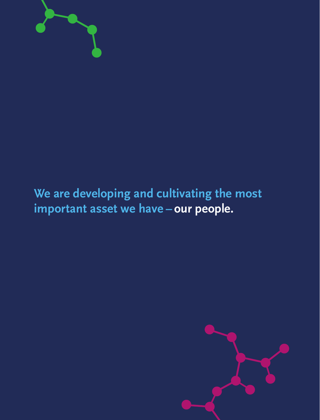

# **We are developing and cultivating the most important asset we have – our people.**

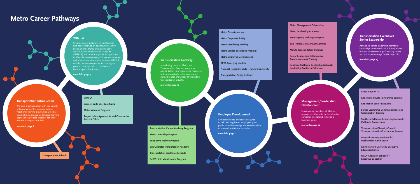**Transportation School**

#### **WIN-LA**

**Women Build LA - Boot Camp**

**Metro Veterans Program**

**Project Labor Agreements and Construction Careers Policy**

**Transportation Career Academy Program** 

**Metro Internship Program**

**Entry-Level Trainee Program**

**Bus Operator Tranportation Academy**

**Transportation Workforce Institute**

**Rail Vehicle Maintenance Program**

# **WIN-LA**

Creating career pathways in construction and non-construction opportunities within Metro and the transportation industry, Workforce Initiative Now-Los Angeles (WIN-LA) will provide support for applicants in life skills development, skill set enhancement and educational attainment services. WIN-LA will also increase resources for training and placement of specialized positions in the transportation industry.

**more info: page 9**

**Transportation Gateway**

Introducing talent to Metro, the Transportation Gateway programs aim to deliver information and resources to help individuals in the community gain a broader knowledge of the public transportation industry.

**more info: page 10**

#### **Transportation Introduction**

Working in collaboration with the County of Los Angeles, this educational and vocational training program is aimed at establishing a unique skills-based learning approach to prepare students for entry into the transportation field.

**more info: page 8**

**Metro Department 101**

**Metro Corporate Safety**

**Metro Mandatory Training**

**Metro Service Excellence Program**

**Metro Employee Development**

**APTA Emerging Leaders**

**National Transit Institute – Rutgers University**

**Transportation Safety Institute**

## **Employee Development**

Self-paced series of classes designed to help existing Metro employees gain professional knowledge and enhance skills to succeed in their current roles.

**more info: page 11**

# **Metro Career Pathways**

#### **Metro Management Orientation**

**Metro Leadership Academy**

**Multi-Agency Exchange Program**

**Eno Transit Mid-Manager Seminar**

**Mineta Transportation Institute**

**Senior Leadership Collaborative Communications Training**

**Southern California Leadership Network: Leadership Southern California**

#### **Leadership APTA**

**Eno Public-Private Partnership Seminar**

**Eno Transit Senior Executive**

**Senior Leadership Communications and Collaboration Training**

**Southern California Leadership Network: California Connections**

**Transportation Diversity Council: Transportation & Infrastructure Summit**

**Harvard Kennedy Institute for Public Policy Certification** 

**Northwestern University Executive Education Series**

**UCLA Anderson School for Executive Education** 

#### **Management/Leadership Development**

Empowering members of Metro's management team to further develop competencies related to Metro's business goals.

**more info: page 14**

### **Transportation Executive/ Senior Leadership**

Advancing senior leadership members' knowledge in national and industry-related forums, understanding of industry trends and advanced strategic leadership skills.

**more info: page 15**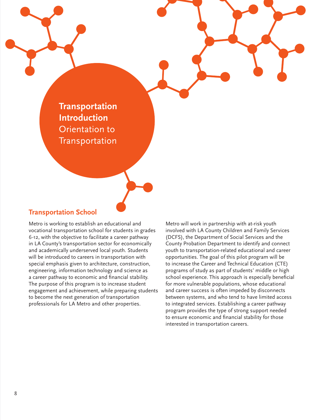**Transportation Introduction** Orientation to Transportation

# **Transportation School**

Metro is working to establish an educational and vocational transportation school for students in grades 6-12, with the objective to facilitate a career pathway in LA County's transportation sector for economically and academically underserved local youth. Students will be introduced to careers in transportation with special emphasis given to architecture, construction, engineering, information technology and science as a career pathway to economic and financial stability. The purpose of this program is to increase student engagement and achievement, while preparing students to become the next generation of transportation professionals for LA Metro and other properties.

Metro will work in partnership with at-risk youth involved with LA County Children and Family Services (DCFS), the Department of Social Services and the County Probation Department to identify and connect youth to transportation-related educational and career opportunities. The goal of this pilot program will be to increase the Career and Technical Education (CTE) programs of study as part of students' middle or high school experience. This approach is especially beneficial for more vulnerable populations, whose educational and career success is often impeded by disconnects between systems, and who tend to have limited access to integrated services. Establishing a career pathway program provides the type of strong support needed to ensure economic and financial stability for those interested in transportation careers.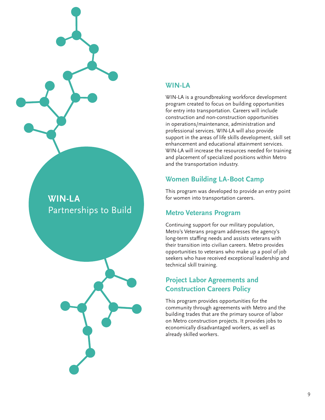

# **WIN-LA** Partnerships to Build



# **WIN-LA**

WIN-LA is a groundbreaking workforce development program created to focus on building opportunities for entry into transportation. Careers will include construction and non-construction opportunities in operations/maintenance, administration and professional services. WIN-LA will also provide support in the areas of life skills development, skill set enhancement and educational attainment services. WIN-LA will increase the resources needed for training and placement of specialized positions within Metro and the transportation industry.

# **Women Building LA-Boot Camp**

This program was developed to provide an entry point for women into transportation careers.

## **Metro Veterans Program**

Continuing support for our military population, Metro's Veterans program addresses the agency's long-term staffing needs and assists veterans with their transition into civilian careers. Metro provides opportunities to veterans who make up a pool of job seekers who have received exceptional leadership and technical skill training.

# **Project Labor Agreements and Construction Careers Policy**

This program provides opportunities for the community through agreements with Metro and the building trades that are the primary source of labor on Metro construction projects. It provides jobs to economically disadvantaged workers, as well as already skilled workers.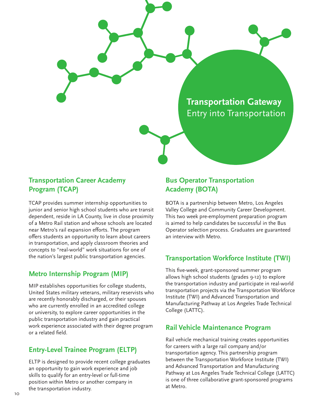**Transportation Gateway** Entry into Transportation

#### **Transportation Career Academy Program (TCAP)**

TCAP provides summer internship opportunities to junior and senior high school students who are transit dependent, reside in LA County, live in close proximity of a Metro Rail station and whose schools are located near Metro's rail expansion efforts. The program offers students an opportunity to learn about careers in transportation, and apply classroom theories and concepts to "real-world" work situations for one of the nation's largest public transportation agencies.

# **Metro Internship Program (MIP)**

MIP establishes opportunities for college students, United States military veterans, military reservists who are recently honorably discharged, or their spouses who are currently enrolled in an accredited college or university, to explore career opportunities in the public transportation industry and gain practical work experience associated with their degree program or a related field.

# **Entry-Level Trainee Program (ELTP)**

ELTP is designed to provide recent college graduates an opportunity to gain work experience and job skills to qualify for an entry-level or full-time position within Metro or another company in the transportation industry.

# **Bus Operator Transportation Academy (BOTA)**

BOTA is a partnership between Metro, Los Angeles Valley College and Community Career Development. This two week pre-employment preparation program is aimed to help candidates be successful in the Bus Operator selection process. Graduates are guaranteed an interview with Metro.

# **Transportation Workforce Institute (TWI)**

This five-week, grant-sponsored summer program allows high school students (grades 9-12) to explore the transportation industry and participate in real-world transportation projects via the Transportation Workforce Institute (TWI) and Advanced Transportation and Manufacturing Pathway at Los Angeles Trade Technical College (LATTC).

#### **Rail Vehicle Maintenance Program**

Rail vehicle mechanical training creates opportunities for careers with a large rail company and/or transportation agency. This partnership program between the Transportation Workforce Institute (TWI) and Advanced Transportation and Manufacturing Pathway at Los Angeles Trade Technical College (LATTC) is one of three collaborative grant-sponsored programs at Metro.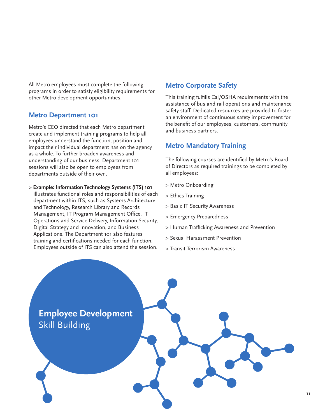All Metro employees must complete the following programs in order to satisfy eligibility requirements for other Metro development opportunities.

#### **Metro Department 101**

Metro's CEO directed that each Metro department create and implement training programs to help all employees understand the function, position and impact their individual department has on the agency as a whole. To further broaden awareness and understanding of our business, Department 101 sessions will also be open to employees from departments outside of their own.

> **Example: Information Technology Systems (ITS) 101** illustrates functional roles and responsibilities of each department within ITS, such as Systems Architecture and Technology, Research Library and Records Management, IT Program Management Office, IT Operations and Service Delivery, Information Security, Digital Strategy and Innovation, and Business Applications. The Department 101 also features training and certifications needed for each function. Employees outside of ITS can also attend the session.

#### **Metro Corporate Safety**

This training fulfills Cal/OSHA requirements with the assistance of bus and rail operations and maintenance safety staff. Dedicated resources are provided to foster an environment of continuous safety improvement for the benefit of our employees, customers, community and business partners.

#### **Metro Mandatory Training**

The following courses are identified by Metro's Board of Directors as required trainings to be completed by all employees:

- > Metro Onboarding
- > Ethics Training
- > Basic IT Security Awareness
- > Emergency Preparedness
- > Human Trafficking Awareness and Prevention
- > Sexual Harassment Prevention
- > Transit Terrorism Awareness

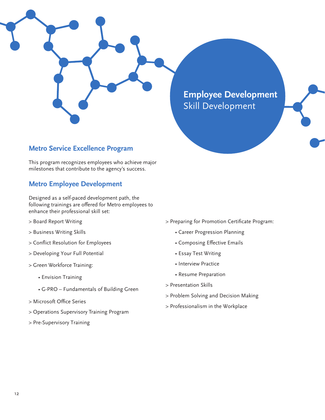

#### **Metro Service Excellence Program**

This program recognizes employees who achieve major milestones that contribute to the agency's success.

#### **Metro Employee Development**

Designed as a self-paced development path, the following trainings are offered for Metro employees to enhance their professional skill set:

- > Board Report Writing
- > Business Writing Skills
- > Conflict Resolution for Employees
- > Developing Your Full Potential
- > Green Workforce Training:
	- Envision Training
	- G-PRO Fundamentals of Building Green
- > Microsoft Office Series
- > Operations Supervisory Training Program
- > Pre-Supervisory Training
- > Preparing for Promotion Certificate Program:
	- Career Progression Planning
	- Composing Effective Emails
	- Essay Test Writing
	- Interview Practice
	- Resume Preparation
- > Presentation Skills
- > Problem Solving and Decision Making
- > Professionalism in the Workplace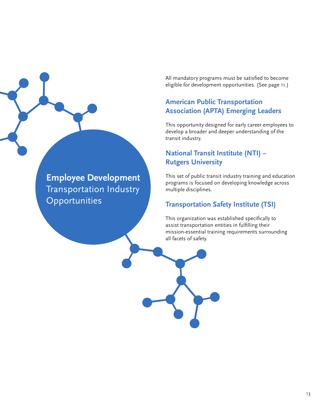All mandatory programs must be satisfied to become eligible for development opportunities. (See page 11.)

# **American Public Transportation Association (APTA) Emerging Leaders**

This opportunity designed for early career employees to develop a broader and deeper understanding of the transit industry.

# **National Transit Institute (NTI) – Rutgers University**

This set of public transit industry training and education programs is focused on developing knowledge across multiple disciplines.

# **Transportation Safety Institute (TSI)**

This organization was established specifically to assist transportation entities in fulfilling their mission-essential training requirements surrounding all facets of safety.

**Employee Development** Transportation Industry **Opportunities**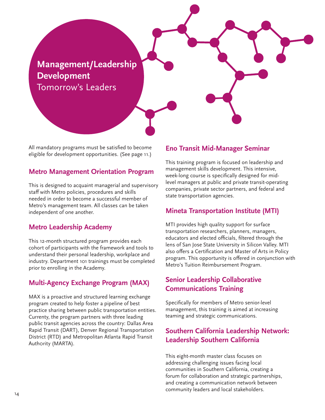**Management/Leadership Development** Tomorrow's Leaders

All mandatory programs must be satisfied to become eligible for development opportunities. (See page 11.)

#### **Metro Management Orientation Program**

This is designed to acquaint managerial and supervisory staff with Metro policies, procedures and skills needed in order to become a successful member of Metro's management team. All classes can be taken independent of one another.

#### **Metro Leadership Academy**

This 12-month structured program provides each cohort of participants with the framework and tools to understand their personal leadership, workplace and industry. Department 101 trainings must be completed prior to enrolling in the Academy.

#### **Multi-Agency Exchange Program (MAX)**

MAX is a proactive and structured learning exchange program created to help foster a pipeline of best practice sharing between public transportation entities. Currenty, the program partners with three leading public transit agencies across the country: Dallas Area Rapid Transit (DART), Denver Regional Transportation District (RTD) and Metropolitan Atlanta Rapid Transit Authority (MARTA).

#### **Eno Transit Mid-Manager Seminar**

This training program is focused on leadership and management skills development. This intensive, week-long course is specifically designed for midlevel managers at public and private transit-operating companies, private sector partners, and federal and state transportation agencies.

#### **Mineta Transportation Institute (MTI)**

MTI provides high quality support for surface transportation researchers, planners, managers, educators and elected officials, filtered through the lens of San Jose State University in Silicon Valley. MTI also offers a Certification and Master of Arts in Policy program. This opportunity is offered in conjunction with Metro's Tuition Reimbursement Program.

#### **Senior Leadership Collaborative Communications Training**

Specifically for members of Metro senior-level management, this training is aimed at increasing teaming and strategic communications.

### **Southern California Leadership Network: Leadership Southern California**

This eight-month master class focuses on addressing challenging issues facing local communities in Southern California, creating a forum for collaboration and strategic partnerships, and creating a communication network between community leaders and local stakeholders.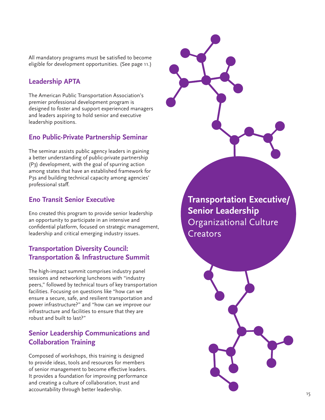All mandatory programs must be satisfied to become eligible for development opportunities. (See page 11.)

### **Leadership APTA**

The American Public Transportation Association's premier professional development program is designed to foster and support experienced managers and leaders aspiring to hold senior and executive leadership positions.

# **Eno Public-Private Partnership Seminar**

The seminar assists public agency leaders in gaining a better understanding of public-private partnership (P3) development, with the goal of spurring action among states that have an established framework for P3s and building technical capacity among agencies' professional staff.

### **Eno Transit Senior Executive**

Eno created this program to provide senior leadership an opportunity to participate in an intensive and confidential platform, focused on strategic management, leadership and critical emerging industry issues.

# **Transportation Diversity Council: Transportation & Infrastructure Summit**

The high-impact summit comprises industry panel sessions and networking luncheons with "industry peers," followed by technical tours of key transportation facilities. Focusing on questions like "how can we ensure a secure, safe, and resilient transportation and power infrastructure?" and "how can we improve our infrastructure and facilities to ensure that they are robust and built to last?"

# **Senior Leadership Communications and Collaboration Training**

Composed of workshops, this training is designed to provide ideas, tools and resources for members of senior management to become effective leaders. It provides a foundation for improving performance and creating a culture of collaboration, trust and accountability through better leadership.

**Transportation Executive/ Senior Leadership** Organizational Culture **Creators**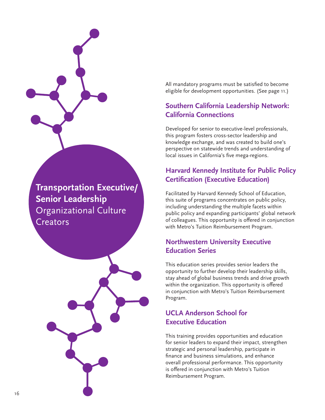**Transportation Executive/ Senior Leadership** Organizational Culture **Creators** 



All mandatory programs must be satisfied to become eligible for development opportunities. (See page 11.)

## **Southern California Leadership Network: California Connections**

Developed for senior to executive-level professionals, this program fosters cross-sector leadership and knowledge exchange, and was created to build one's perspective on statewide trends and understanding of local issues in California's five mega-regions.

# **Harvard Kennedy Institute for Public Policy Certification (Executive Education)**

Facilitated by Harvard Kennedy School of Education, this suite of programs concentrates on public policy, including understanding the multiple facets within public policy and expanding participants' global network of colleagues. This opportunity is offered in conjunction with Metro's Tuition Reimbursement Program.

### **Northwestern University Executive Education Series**

This education series provides senior leaders the opportunity to further develop their leadership skills, stay ahead of global business trends and drive growth within the organization. This opportunity is offered in conjunction with Metro's Tuition Reimbursement Program.

# **UCLA Anderson School for Executive Education**

This training provides opportunities and education for senior leaders to expand their impact, strengthen strategic and personal leadership, participate in finance and business simulations, and enhance overall professional performance. This opportunity is offered in conjunction with Metro's Tuition Reimbursement Program.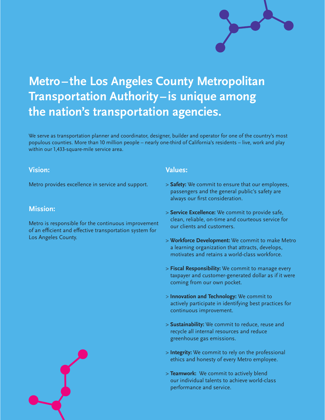

# **Metro –the Los Angeles County Metropolitan Transportation Authority –is unique among the nation's transportation agencies.**

We serve as transportation planner and coordinator, designer, builder and operator for one of the country's most populous counties. More than 10 million people – nearly one-third of California's residents – live, work and play within our 1,433-square-mile service area.

#### **Vision:**

Metro provides excellence in service and support.

#### **Mission:**

Metro is responsible for the continuous improvement of an efficient and effective transportation system for Los Angeles County.

#### **Values:**

- > **Safety:** We commit to ensure that our employees, passengers and the general public's safety are always our first consideration.
- > **Service Excellence:** We commit to provide safe, clean, reliable, on-time and courteous service for our clients and customers.
- > **Workforce Development:** We commit to make Metro a learning organization that attracts, develops, motivates and retains a world-class workforce.
- > **Fiscal Responsibility:** We commit to manage every taxpayer and customer-generated dollar as if it were coming from our own pocket.
- > **Innovation and Technology:** We commit to actively participate in identifying best practices for continuous improvement.
- > **Sustainability:** We commit to reduce, reuse and recycle all internal resources and reduce greenhouse gas emissions.
- > **Integrity:** We commit to rely on the professional ethics and honesty of every Metro employee.
- > **Teamwork:** We commit to actively blend our individual talents to achieve world-class performance and service.